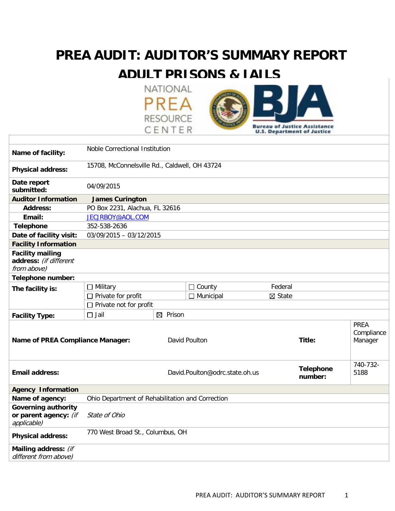# **PREA AUDIT: AUDITOR'S SUMMARY REPORT ADULT PRISONS & JAILS**





| Name of facility:                                                  | Noble Correctional Institution                   |                    |                                |         |                                      |                  |
|--------------------------------------------------------------------|--------------------------------------------------|--------------------|--------------------------------|---------|--------------------------------------|------------------|
| <b>Physical address:</b>                                           | 15708, McConnelsville Rd., Caldwell, OH 43724    |                    |                                |         |                                      |                  |
| Date report<br>submitted:                                          | 04/09/2015                                       |                    |                                |         |                                      |                  |
| <b>Auditor Information</b>                                         | <b>James Curington</b>                           |                    |                                |         |                                      |                  |
| <b>Address:</b>                                                    | PO Box 2231, Alachua, FL 32616                   |                    |                                |         |                                      |                  |
| Email:                                                             | JECJRBOY@AOL.COM                                 |                    |                                |         |                                      |                  |
| <b>Telephone</b>                                                   | 352-538-2636                                     |                    |                                |         |                                      |                  |
| Date of facility visit:                                            | 03/09/2015 - 03/12/2015                          |                    |                                |         |                                      |                  |
| <b>Facility Information</b>                                        |                                                  |                    |                                |         |                                      |                  |
| <b>Facility mailing</b><br>address: (if different<br>from above)   |                                                  |                    |                                |         |                                      |                  |
| Telephone number:                                                  |                                                  |                    |                                |         |                                      |                  |
| The facility is:                                                   | $\Box$ Military                                  |                    | $\Box$ County                  | Federal |                                      |                  |
|                                                                    | $\Box$ Private for profit                        |                    | $\Box$ Municipal               | ⊠ State |                                      |                  |
|                                                                    | $\Box$ Private not for profit                    |                    |                                |         |                                      |                  |
| <b>Facility Type:</b>                                              | $\Box$ Jail                                      | $\boxtimes$ Prison |                                |         |                                      |                  |
| Name of PREA Compliance Manager:                                   |                                                  | David Poulton      |                                | Title:  | <b>PREA</b><br>Compliance<br>Manager |                  |
| <b>Email address:</b>                                              |                                                  |                    | David.Poulton@odrc.state.oh.us |         | <b>Telephone</b><br>number:          | 740-732-<br>5188 |
| <b>Agency Information</b>                                          |                                                  |                    |                                |         |                                      |                  |
| Name of agency:                                                    | Ohio Department of Rehabilitation and Correction |                    |                                |         |                                      |                  |
| <b>Governing authority</b><br>or parent agency: (if<br>applicable) | State of Ohio                                    |                    |                                |         |                                      |                  |
| <b>Physical address:</b>                                           | 770 West Broad St., Columbus, OH                 |                    |                                |         |                                      |                  |
| Mailing address: (if<br>different from above)                      |                                                  |                    |                                |         |                                      |                  |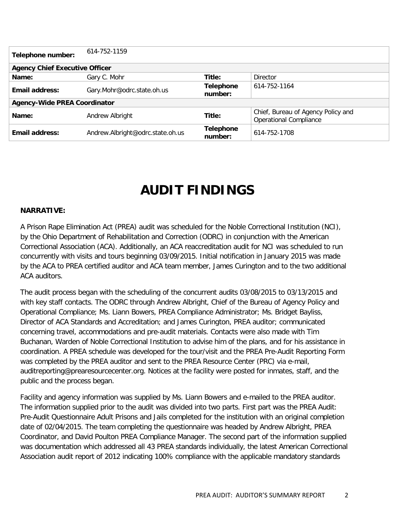| Telephone number:                     | 614-752-1159                     |                             |                                                                     |  |
|---------------------------------------|----------------------------------|-----------------------------|---------------------------------------------------------------------|--|
| <b>Agency Chief Executive Officer</b> |                                  |                             |                                                                     |  |
| Name:                                 | Gary C. Mohr                     | Title:                      | <b>Director</b>                                                     |  |
| Email address:                        | Gary.Mohr@odrc.state.oh.us       | <b>Telephone</b><br>number: | 614-752-1164                                                        |  |
| <b>Agency-Wide PREA Coordinator</b>   |                                  |                             |                                                                     |  |
| Name:                                 | Andrew Albright                  | Title:                      | Chief, Bureau of Agency Policy and<br><b>Operational Compliance</b> |  |
| Email address:                        | Andrew.Albright@odrc.state.oh.us | <b>Telephone</b><br>number: | 614-752-1708                                                        |  |

# **AUDIT FINDINGS**

#### **NARRATIVE:**

A Prison Rape Elimination Act (PREA) audit was scheduled for the Noble Correctional Institution (NCI), by the Ohio Department of Rehabilitation and Correction (ODRC) in conjunction with the American Correctional Association (ACA). Additionally, an ACA reaccreditation audit for NCI was scheduled to run concurrently with visits and tours beginning 03/09/2015. Initial notification in January 2015 was made by the ACA to PREA certified auditor and ACA team member, James Curington and to the two additional ACA auditors.

The audit process began with the scheduling of the concurrent audits 03/08/2015 to 03/13/2015 and with key staff contacts. The ODRC through Andrew Albright, Chief of the Bureau of Agency Policy and Operational Compliance; Ms. Liann Bowers, PREA Compliance Administrator; Ms. Bridget Bayliss, Director of ACA Standards and Accreditation; and James Curington, PREA auditor; communicated concerning travel, accommodations and pre-audit materials. Contacts were also made with Tim Buchanan, Warden of Noble Correctional Institution to advise him of the plans, and for his assistance in coordination. A PREA schedule was developed for the tour/visit and the PREA Pre-Audit Reporting Form was completed by the PREA auditor and sent to the PREA Resource Center (PRC) via e-mail, auditreporting@prearesourcecenter.org. Notices at the facility were posted for inmates, staff, and the public and the process began.

Facility and agency information was supplied by Ms. Liann Bowers and e-mailed to the PREA auditor. The information supplied prior to the audit was divided into two parts. First part was the PREA Audit: Pre-Audit Questionnaire Adult Prisons and Jails completed for the institution with an original completion date of 02/04/2015. The team completing the questionnaire was headed by Andrew Albright, PREA Coordinator, and David Poulton PREA Compliance Manager. The second part of the information supplied was documentation which addressed all 43 PREA standards individually, the latest American Correctional Association audit report of 2012 indicating 100% compliance with the applicable mandatory standards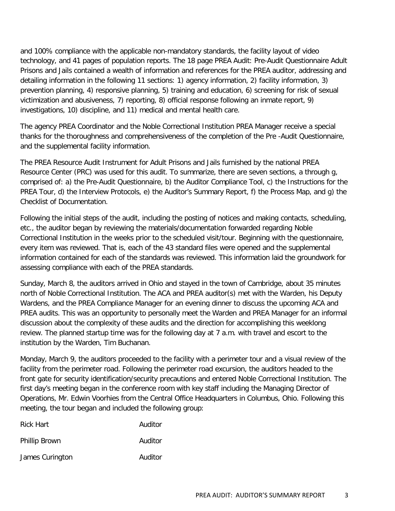and 100% compliance with the applicable non-mandatory standards, the facility layout of video technology, and 41 pages of population reports. The 18 page PREA Audit: Pre-Audit Questionnaire Adult Prisons and Jails contained a wealth of information and references for the PREA auditor, addressing and detailing information in the following 11 sections: 1) agency information, 2) facility information, 3) prevention planning, 4) responsive planning, 5) training and education, 6) screening for risk of sexual victimization and abusiveness, 7) reporting, 8) official response following an inmate report, 9) investigations, 10) discipline, and 11) medical and mental health care.

The agency PREA Coordinator and the Noble Correctional Institution PREA Manager receive a special thanks for the thoroughness and comprehensiveness of the completion of the Pre -Audit Questionnaire, and the supplemental facility information.

The PREA Resource Audit Instrument for Adult Prisons and Jails furnished by the national PREA Resource Center (PRC) was used for this audit. To summarize, there are seven sections, a through g, comprised of: a) the Pre-Audit Questionnaire, b) the Auditor Compliance Tool, c) the Instructions for the PREA Tour, d) the Interview Protocols, e) the Auditor's Summary Report, f) the Process Map, and g) the Checklist of Documentation.

Following the initial steps of the audit, including the posting of notices and making contacts, scheduling, etc., the auditor began by reviewing the materials/documentation forwarded regarding Noble Correctional Institution in the weeks prior to the scheduled visit/tour. Beginning with the questionnaire, every item was reviewed. That is, each of the 43 standard files were opened and the supplemental information contained for each of the standards was reviewed. This information laid the groundwork for assessing compliance with each of the PREA standards.

Sunday, March 8, the auditors arrived in Ohio and stayed in the town of Cambridge, about 35 minutes north of Noble Correctional Institution. The ACA and PREA auditor(s) met with the Warden, his Deputy Wardens, and the PREA Compliance Manager for an evening dinner to discuss the upcoming ACA and PREA audits. This was an opportunity to personally meet the Warden and PREA Manager for an informal discussion about the complexity of these audits and the direction for accomplishing this weeklong review. The planned startup time was for the following day at 7 a.m. with travel and escort to the institution by the Warden, Tim Buchanan.

Monday, March 9, the auditors proceeded to the facility with a perimeter tour and a visual review of the facility from the perimeter road. Following the perimeter road excursion, the auditors headed to the front gate for security identification/security precautions and entered Noble Correctional Institution. The first day's meeting began in the conference room with key staff including the Managing Director of Operations, Mr. Edwin Voorhies from the Central Office Headquarters in Columbus, Ohio. Following this meeting, the tour began and included the following group:

| Rick Hart            | Auditor |
|----------------------|---------|
| <b>Phillip Brown</b> | Auditor |
| James Curington      | Auditor |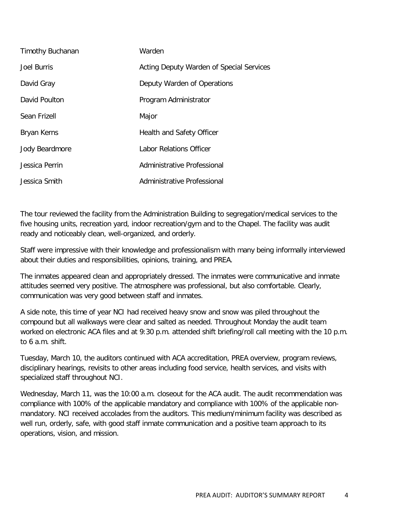| <b>Timothy Buchanan</b> | Warden                                   |
|-------------------------|------------------------------------------|
| <b>Joel Burris</b>      | Acting Deputy Warden of Special Services |
| David Gray              | Deputy Warden of Operations              |
| David Poulton           | Program Administrator                    |
| Sean Frizell            | Major                                    |
| Bryan Kerns             | Health and Safety Officer                |
| Jody Beardmore          | <b>Labor Relations Officer</b>           |
| Jessica Perrin          | Administrative Professional              |
| Jessica Smith           | Administrative Professional              |

The tour reviewed the facility from the Administration Building to segregation/medical services to the five housing units, recreation yard, indoor recreation/gym and to the Chapel. The facility was audit ready and noticeably clean, well-organized, and orderly.

Staff were impressive with their knowledge and professionalism with many being informally interviewed about their duties and responsibilities, opinions, training, and PREA.

The inmates appeared clean and appropriately dressed. The inmates were communicative and inmate attitudes seemed very positive. The atmosphere was professional, but also comfortable. Clearly, communication was very good between staff and inmates.

A side note, this time of year NCI had received heavy snow and snow was piled throughout the compound but all walkways were clear and salted as needed. Throughout Monday the audit team worked on electronic ACA files and at 9:30 p.m. attended shift briefing/roll call meeting with the 10 p.m. to 6 a.m. shift.

Tuesday, March 10, the auditors continued with ACA accreditation, PREA overview, program reviews, disciplinary hearings, revisits to other areas including food service, health services, and visits with specialized staff throughout NCI.

Wednesday, March 11, was the 10:00 a.m. closeout for the ACA audit. The audit recommendation was compliance with 100% of the applicable mandatory and compliance with 100% of the applicable nonmandatory. NCI received accolades from the auditors. This medium/minimum facility was described as well run, orderly, safe, with good staff inmate communication and a positive team approach to its operations, vision, and mission.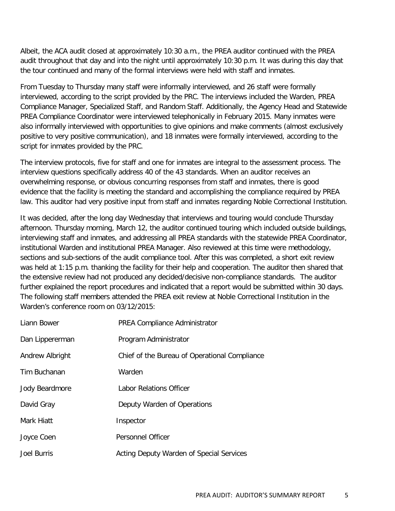Albeit, the ACA audit closed at approximately 10:30 a.m., the PREA auditor continued with the PREA audit throughout that day and into the night until approximately 10:30 p.m. It was during this day that the tour continued and many of the formal interviews were held with staff and inmates.

From Tuesday to Thursday many staff were informally interviewed, and 26 staff were formally interviewed, according to the script provided by the PRC. The interviews included the Warden, PREA Compliance Manager, Specialized Staff, and Random Staff. Additionally, the Agency Head and Statewide PREA Compliance Coordinator were interviewed telephonically in February 2015. Many inmates were also informally interviewed with opportunities to give opinions and make comments (almost exclusively positive to very positive communication), and 18 inmates were formally interviewed, according to the script for inmates provided by the PRC.

The interview protocols, five for staff and one for inmates are integral to the assessment process. The interview questions specifically address 40 of the 43 standards. When an auditor receives an overwhelming response, or obvious concurring responses from staff and inmates, there is good evidence that the facility is meeting the standard and accomplishing the compliance required by PREA law. This auditor had very positive input from staff and inmates regarding Noble Correctional Institution.

It was decided, after the long day Wednesday that interviews and touring would conclude Thursday afternoon. Thursday morning, March 12, the auditor continued touring which included outside buildings, interviewing staff and inmates, and addressing all PREA standards with the statewide PREA Coordinator, institutional Warden and institutional PREA Manager. Also reviewed at this time were methodology, sections and sub-sections of the audit compliance tool. After this was completed, a short exit review was held at 1:15 p.m. thanking the facility for their help and cooperation. The auditor then shared that the extensive review had not produced any decided/decisive non-compliance standards. The auditor further explained the report procedures and indicated that a report would be submitted within 30 days. The following staff members attended the PREA exit review at Noble Correctional Institution in the Warden's conference room on 03/12/2015:

| Liann Bower        | PREA Compliance Administrator                 |
|--------------------|-----------------------------------------------|
| Dan Lippererman    | Program Administrator                         |
| Andrew Albright    | Chief of the Bureau of Operational Compliance |
| Tim Buchanan       | Warden                                        |
| Jody Beardmore     | Labor Relations Officer                       |
| David Gray         | Deputy Warden of Operations                   |
| Mark Hiatt         | Inspector                                     |
| Joyce Coen         | <b>Personnel Officer</b>                      |
| <b>Joel Burris</b> | Acting Deputy Warden of Special Services      |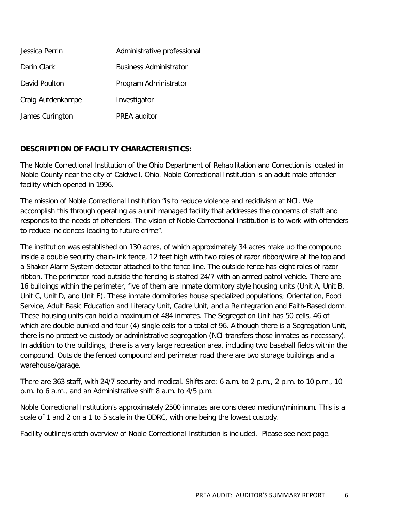| Jessica Perrin    | Administrative professional   |
|-------------------|-------------------------------|
| Darin Clark       | <b>Business Administrator</b> |
| David Poulton     | Program Administrator         |
| Craig Aufdenkampe | Investigator                  |
| James Curington   | PRFA auditor                  |

#### **DESCRIPTION OF FACILITY CHARACTERISTICS:**

The Noble Correctional Institution of the Ohio Department of Rehabilitation and Correction is located in Noble County near the city of Caldwell, Ohio. Noble Correctional Institution is an adult male offender facility which opened in 1996.

The mission of Noble Correctional Institution "is to reduce violence and recidivism at NCI. We accomplish this through operating as a unit managed facility that addresses the concerns of staff and responds to the needs of offenders. The vision of Noble Correctional Institution is to work with offenders to reduce incidences leading to future crime".

The institution was established on 130 acres, of which approximately 34 acres make up the compound inside a double security chain-link fence, 12 feet high with two roles of razor ribbon/wire at the top and a Shaker Alarm System detector attached to the fence line. The outside fence has eight roles of razor ribbon. The perimeter road outside the fencing is staffed 24/7 with an armed patrol vehicle. There are 16 buildings within the perimeter, five of them are inmate dormitory style housing units (Unit A, Unit B, Unit C, Unit D, and Unit E). These inmate dormitories house specialized populations; Orientation, Food Service, Adult Basic Education and Literacy Unit, Cadre Unit, and a Reintegration and Faith-Based dorm. These housing units can hold a maximum of 484 inmates. The Segregation Unit has 50 cells, 46 of which are double bunked and four (4) single cells for a total of 96. Although there is a Segregation Unit, there is no protective custody or administrative segregation (NCI transfers those inmates as necessary). In addition to the buildings, there is a very large recreation area, including two baseball fields within the compound. Outside the fenced compound and perimeter road there are two storage buildings and a warehouse/garage.

There are 363 staff, with 24/7 security and medical. Shifts are: 6 a.m. to 2 p.m., 2 p.m. to 10 p.m., 10 p.m. to 6 a.m., and an Administrative shift 8 a.m. to 4/5 p.m.

Noble Correctional Institution's approximately 2500 inmates are considered medium/minimum. This is a scale of 1 and 2 on a 1 to 5 scale in the ODRC, with one being the lowest custody.

Facility outline/sketch overview of Noble Correctional Institution is included. Please see next page.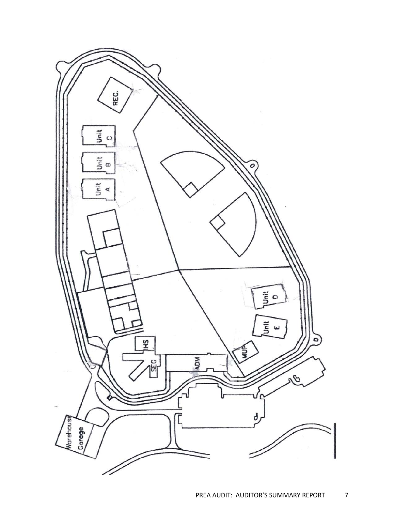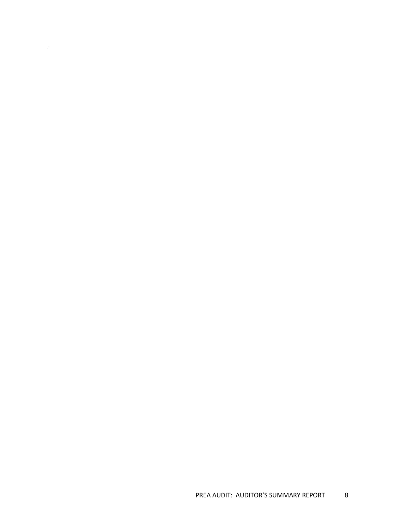PREA AUDIT: AUDITOR'S SUMMARY REPORT 8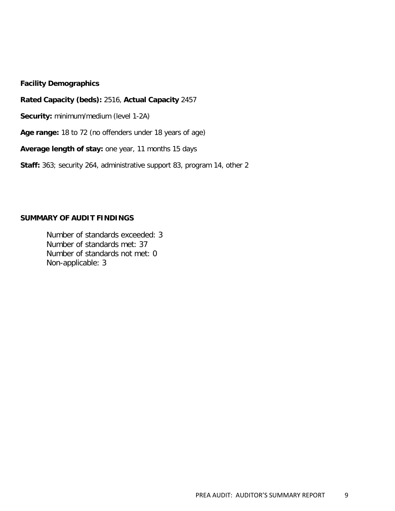#### **Facility Demographics**

**Rated Capacity (beds):** 2516, **Actual Capacity** 2457

Security: minimum/medium (level 1-2A)

**Age range:** 18 to 72 (no offenders under 18 years of age)

**Average length of stay:** one year, 11 months 15 days

**Staff:** 363; security 264, administrative support 83, program 14, other 2

#### **SUMMARY OF AUDIT FINDINGS**

Number of standards exceeded: 3 Number of standards met: 37 Number of standards not met: 0 Non-applicable: 3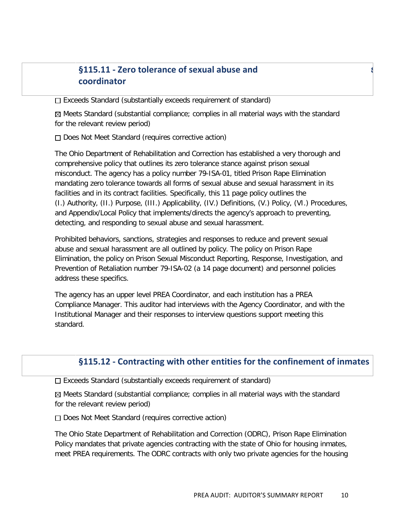# **§115.11 - Zero tolerance of sexual abuse and** s **coordinator**

 $\Box$  Exceeds Standard (substantially exceeds requirement of standard)

 $\boxtimes$  Meets Standard (substantial compliance; complies in all material ways with the standard for the relevant review period)

 $\Box$  Does Not Meet Standard (requires corrective action)

The Ohio Department of Rehabilitation and Correction has established a very thorough and comprehensive policy that outlines its zero tolerance stance against prison sexual misconduct. The agency has a policy number 79-ISA-01, titled Prison Rape Elimination mandating zero tolerance towards all forms of sexual abuse and sexual harassment in its facilities and in its contract facilities. Specifically, this 11 page policy outlines the (I.) Authority, (II.) Purpose, (III.) Applicability, (IV.) Definitions, (V.) Policy, (VI.) Procedures, and Appendix/Local Policy that implements/directs the agency's approach to preventing, detecting, and responding to sexual abuse and sexual harassment.

Prohibited behaviors, sanctions, strategies and responses to reduce and prevent sexual abuse and sexual harassment are all outlined by policy. The policy on Prison Rape Elimination, the policy on Prison Sexual Misconduct Reporting, Response, Investigation, and Prevention of Retaliation number 79-ISA-02 (a 14 page document) and personnel policies address these specifics.

The agency has an upper level PREA Coordinator, and each institution has a PREA Compliance Manager. This auditor had interviews with the Agency Coordinator, and with the Institutional Manager and their responses to interview questions support meeting this standard.

# **§115.12 - Contracting with other entities for the confinement of inmates**

 $\Box$  Exceeds Standard (substantially exceeds requirement of standard)

 $\boxtimes$  Meets Standard (substantial compliance; complies in all material ways with the standard for the relevant review period)

 $\Box$  Does Not Meet Standard (requires corrective action)

The Ohio State Department of Rehabilitation and Correction (ODRC), Prison Rape Elimination Policy mandates that private agencies contracting with the state of Ohio for housing inmates, meet PREA requirements. The ODRC contracts with only two private agencies for the housing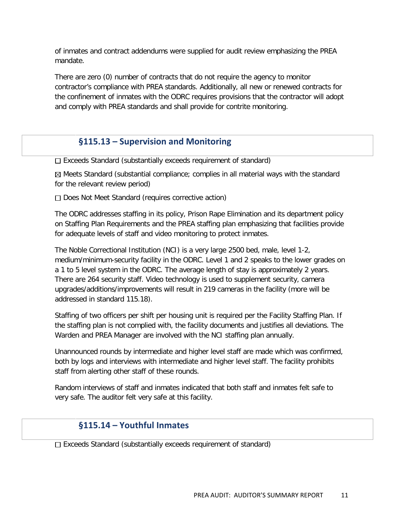of inmates and contract addendums were supplied for audit review emphasizing the PREA mandate.

There are zero (0) number of contracts that do not require the agency to monitor contractor's compliance with PREA standards. Additionally, all new or renewed contracts for the confinement of inmates with the ODRC requires provisions that the contractor will adopt and comply with PREA standards and shall provide for contrite monitoring.

## **§115.13 – Supervision and Monitoring**

 $\square$  Exceeds Standard (substantially exceeds requirement of standard)

 $\boxtimes$  Meets Standard (substantial compliance; complies in all material ways with the standard for the relevant review period)

 $\Box$  Does Not Meet Standard (requires corrective action)

The ODRC addresses staffing in its policy, Prison Rape Elimination and its department policy on Staffing Plan Requirements and the PREA staffing plan emphasizing that facilities provide for adequate levels of staff and video monitoring to protect inmates.

The Noble Correctional Institution (NCI) is a very large 2500 bed, male, level 1-2, medium/minimum-security facility in the ODRC. Level 1 and 2 speaks to the lower grades on a 1 to 5 level system in the ODRC. The average length of stay is approximately 2 years. There are 264 security staff. Video technology is used to supplement security, camera upgrades/additions/improvements will result in 219 cameras in the facility (more will be addressed in standard 115.18).

Staffing of two officers per shift per housing unit is required per the Facility Staffing Plan. If the staffing plan is not complied with, the facility documents and justifies all deviations. The Warden and PREA Manager are involved with the NCI staffing plan annually.

Unannounced rounds by intermediate and higher level staff are made which was confirmed, both by logs and interviews with intermediate and higher level staff. The facility prohibits staff from alerting other staff of these rounds.

Random interviews of staff and inmates indicated that both staff and inmates felt safe to very safe. The auditor felt very safe at this facility.

## **§115.14 – Youthful Inmates**

 $\Box$  Exceeds Standard (substantially exceeds requirement of standard)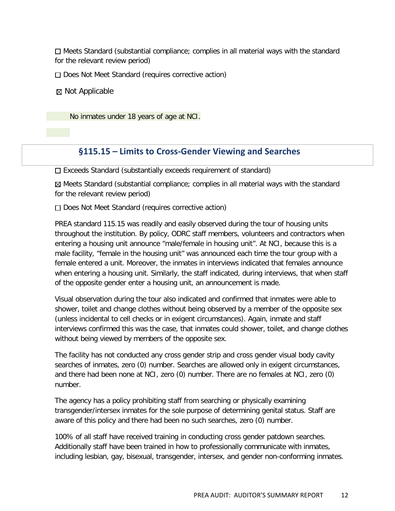$\Box$  Meets Standard (substantial compliance; complies in all material ways with the standard for the relevant review period)

Does Not Meet Standard (requires corrective action)

 $\boxtimes$  Not Applicable

No inmates under 18 years of age at NCI.

#### **§115.15 – Limits to Cross-Gender Viewing and Searches**

 $\Box$  Exceeds Standard (substantially exceeds requirement of standard)

 $\boxtimes$  Meets Standard (substantial compliance; complies in all material ways with the standard for the relevant review period)

 $\Box$  Does Not Meet Standard (requires corrective action)

PREA standard 115.15 was readily and easily observed during the tour of housing units throughout the institution. By policy, ODRC staff members, volunteers and contractors when entering a housing unit announce "male/female in housing unit". At NCI, because this is a male facility, "female in the housing unit" was announced each time the tour group with a female entered a unit. Moreover, the inmates in interviews indicated that females announce when entering a housing unit. Similarly, the staff indicated, during interviews, that when staff of the opposite gender enter a housing unit, an announcement is made.

Visual observation during the tour also indicated and confirmed that inmates were able to shower, toilet and change clothes without being observed by a member of the opposite sex (unless incidental to cell checks or in exigent circumstances). Again, inmate and staff interviews confirmed this was the case, that inmates could shower, toilet, and change clothes without being viewed by members of the opposite sex.

The facility has not conducted any cross gender strip and cross gender visual body cavity searches of inmates, zero (0) number. Searches are allowed only in exigent circumstances, and there had been none at NCI, zero (0) number. There are no females at NCI, zero (0) number.

The agency has a policy prohibiting staff from searching or physically examining transgender/intersex inmates for the sole purpose of determining genital status. Staff are aware of this policy and there had been no such searches, zero (0) number.

100% of all staff have received training in conducting cross gender patdown searches. Additionally staff have been trained in how to professionally communicate with inmates, including lesbian, gay, bisexual, transgender, intersex, and gender non-conforming inmates.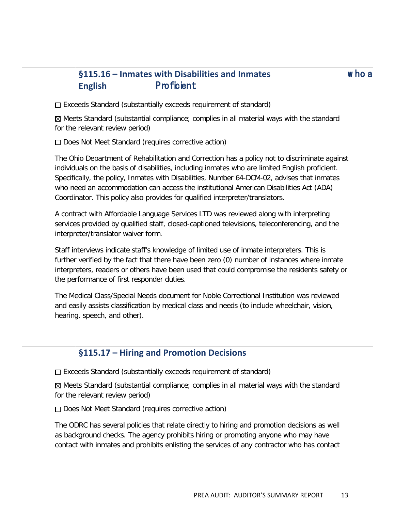# **§115.16 – Inmates with Disabilities and Inmates** w ho a **English** Proficient

 $\Box$  Exceeds Standard (substantially exceeds requirement of standard)

 $\boxtimes$  Meets Standard (substantial compliance; complies in all material ways with the standard for the relevant review period)

 $\Box$  Does Not Meet Standard (requires corrective action)

The Ohio Department of Rehabilitation and Correction has a policy not to discriminate against individuals on the basis of disabilities, including inmates who are limited English proficient. Specifically, the policy, Inmates with Disabilities, Number 64-DCM-02, advises that inmates who need an accommodation can access the institutional American Disabilities Act (ADA) Coordinator. This policy also provides for qualified interpreter/translators.

A contract with Affordable Language Services LTD was reviewed along with interpreting services provided by qualified staff, closed-captioned televisions, teleconferencing, and the interpreter/translator waiver form.

Staff interviews indicate staff's knowledge of limited use of inmate interpreters. This is further verified by the fact that there have been zero (0) number of instances where inmate interpreters, readers or others have been used that could compromise the residents safety or the performance of first responder duties.

The Medical Class/Special Needs document for Noble Correctional Institution was reviewed and easily assists classification by medical class and needs (to include wheelchair, vision, hearing, speech, and other).

## **§115.17 – Hiring and Promotion Decisions**

 $\Box$  Exceeds Standard (substantially exceeds requirement of standard)

 $\boxtimes$  Meets Standard (substantial compliance; complies in all material ways with the standard for the relevant review period)

 $\Box$  Does Not Meet Standard (requires corrective action)

The ODRC has several policies that relate directly to hiring and promotion decisions as well as background checks. The agency prohibits hiring or promoting anyone who may have contact with inmates and prohibits enlisting the services of any contractor who has contact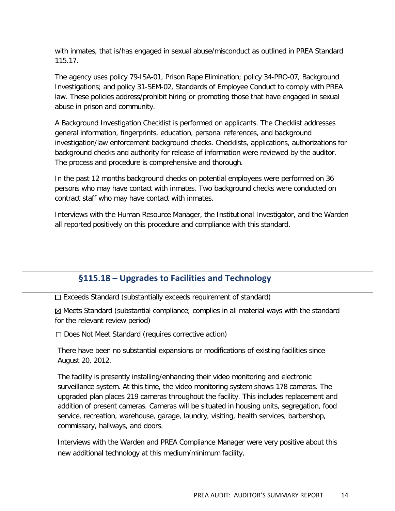with inmates, that is/has engaged in sexual abuse/misconduct as outlined in PREA Standard 115.17.

The agency uses policy 79-ISA-01, Prison Rape Elimination; policy 34-PRO-07, Background Investigations; and policy 31-SEM-02, Standards of Employee Conduct to comply with PREA law. These policies address/prohibit hiring or promoting those that have engaged in sexual abuse in prison and community.

A Background Investigation Checklist is performed on applicants. The Checklist addresses general information, fingerprints, education, personal references, and background investigation/law enforcement background checks. Checklists, applications, authorizations for background checks and authority for release of information were reviewed by the auditor. The process and procedure is comprehensive and thorough.

In the past 12 months background checks on potential employees were performed on 36 persons who may have contact with inmates. Two background checks were conducted on contract staff who may have contact with inmates.

Interviews with the Human Resource Manager, the Institutional Investigator, and the Warden all reported positively on this procedure and compliance with this standard.

# **§115.18 – Upgrades to Facilities and Technology**

 $\Box$  Exceeds Standard (substantially exceeds requirement of standard)

Meets Standard (substantial compliance; complies in all material ways with the standard for the relevant review period)

 $\Box$  Does Not Meet Standard (requires corrective action)

There have been no substantial expansions or modifications of existing facilities since August 20, 2012.

The facility is presently installing/enhancing their video monitoring and electronic surveillance system. At this time, the video monitoring system shows 178 cameras. The upgraded plan places 219 cameras throughout the facility. This includes replacement and addition of present cameras. Cameras will be situated in housing units, segregation, food service, recreation, warehouse, garage, laundry, visiting, health services, barbershop, commissary, hallways, and doors.

Interviews with the Warden and PREA Compliance Manager were very positive about this new additional technology at this medium/minimum facility.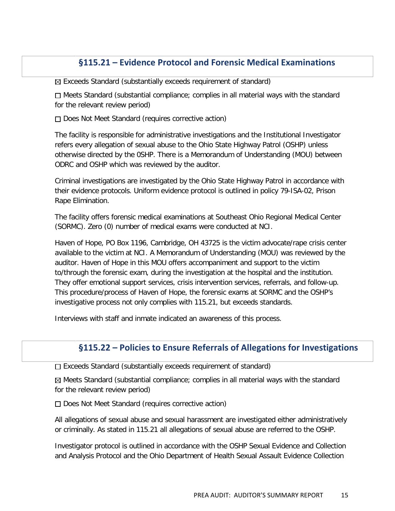# **§115.21 – Evidence Protocol and Forensic Medical Examinations**

Exceeds Standard (substantially exceeds requirement of standard)

 $\Box$  Meets Standard (substantial compliance; complies in all material ways with the standard for the relevant review period)

 $\Box$  Does Not Meet Standard (requires corrective action)

The facility is responsible for administrative investigations and the Institutional Investigator refers every allegation of sexual abuse to the Ohio State Highway Patrol (OSHP) unless otherwise directed by the 0SHP. There is a Memorandum of Understanding (MOU) between ODRC and OSHP which was reviewed by the auditor.

Criminal investigations are investigated by the Ohio State Highway Patrol in accordance with their evidence protocols. Uniform evidence protocol is outlined in policy 79-ISA-02, Prison Rape Elimination.

The facility offers forensic medical examinations at Southeast Ohio Regional Medical Center (SORMC). Zero (0) number of medical exams were conducted at NCI.

Haven of Hope, PO Box 1196, Cambridge, OH 43725 is the victim advocate/rape crisis center available to the victim at NCI. A Memorandum of Understanding (MOU) was reviewed by the auditor. Haven of Hope in this MOU offers accompaniment and support to the victim to/through the forensic exam, during the investigation at the hospital and the institution. They offer emotional support services, crisis intervention services, referrals, and follow-up. This procedure/process of Haven of Hope, the forensic exams at SORMC and the OSHP's investigative process not only complies with 115.21, but exceeds standards.

Interviews with staff and inmate indicated an awareness of this process.

## **§115.22 – Policies to Ensure Referrals of Allegations for Investigations**

 $\Box$  Exceeds Standard (substantially exceeds requirement of standard)

 $\boxtimes$  Meets Standard (substantial compliance; complies in all material ways with the standard for the relevant review period)

 $\Box$  Does Not Meet Standard (requires corrective action)

All allegations of sexual abuse and sexual harassment are investigated either administratively or criminally. As stated in 115.21 all allegations of sexual abuse are referred to the OSHP.

Investigator protocol is outlined in accordance with the OSHP Sexual Evidence and Collection and Analysis Protocol and the Ohio Department of Health Sexual Assault Evidence Collection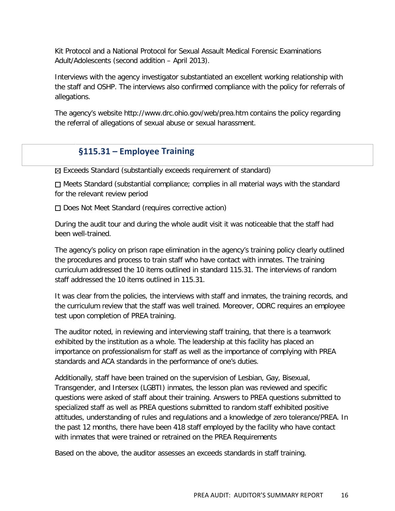Kit Protocol and a National Protocol for Sexual Assault Medical Forensic Examinations Adult/Adolescents (second addition – April 2013).

Interviews with the agency investigator substantiated an excellent working relationship with the staff and OSHP. The interviews also confirmed compliance with the policy for referrals of allegations.

The agency's website http://www.drc.ohio.gov/web/prea.htm contains the policy regarding the referral of allegations of sexual abuse or sexual harassment.

# **§115.31 – Employee Training**

Exceeds Standard (substantially exceeds requirement of standard)

 $\Box$  Meets Standard (substantial compliance; complies in all material ways with the standard for the relevant review period

 $\Box$  Does Not Meet Standard (requires corrective action)

During the audit tour and during the whole audit visit it was noticeable that the staff had been well-trained.

The agency's policy on prison rape elimination in the agency's training policy clearly outlined the procedures and process to train staff who have contact with inmates. The training curriculum addressed the 10 items outlined in standard 115.31. The interviews of random staff addressed the 10 items outlined in 115.31.

It was clear from the policies, the interviews with staff and inmates, the training records, and the curriculum review that the staff was well trained. Moreover, ODRC requires an employee test upon completion of PREA training.

The auditor noted, in reviewing and interviewing staff training, that there is a teamwork exhibited by the institution as a whole. The leadership at this facility has placed an importance on professionalism for staff as well as the importance of complying with PREA standards and ACA standards in the performance of one's duties.

Additionally, staff have been trained on the supervision of Lesbian, Gay, Bisexual, Transgender, and Intersex (LGBTI) inmates, the lesson plan was reviewed and specific questions were asked of staff about their training. Answers to PREA questions submitted to specialized staff as well as PREA questions submitted to random staff exhibited positive attitudes, understanding of rules and regulations and a knowledge of zero tolerance/PREA. In the past 12 months, there have been 418 staff employed by the facility who have contact with inmates that were trained or retrained on the PREA Requirements

Based on the above, the auditor assesses an exceeds standards in staff training.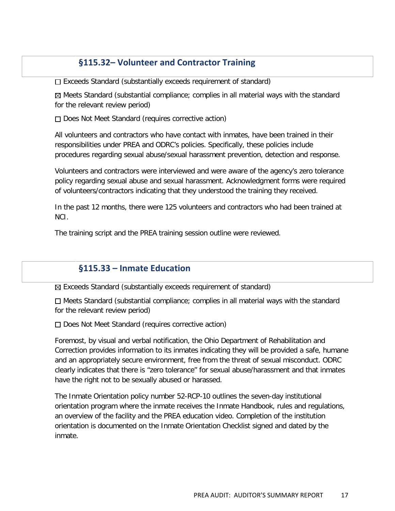# **§115.32– Volunteer and Contractor Training**

 $\square$  Exceeds Standard (substantially exceeds requirement of standard)

Meets Standard (substantial compliance; complies in all material ways with the standard for the relevant review period)

 $\Box$  Does Not Meet Standard (requires corrective action)

All volunteers and contractors who have contact with inmates, have been trained in their responsibilities under PREA and ODRC's policies. Specifically, these policies include procedures regarding sexual abuse/sexual harassment prevention, detection and response.

Volunteers and contractors were interviewed and were aware of the agency's zero tolerance policy regarding sexual abuse and sexual harassment. Acknowledgment forms were required of volunteers/contractors indicating that they understood the training they received.

In the past 12 months, there were 125 volunteers and contractors who had been trained at NCI.

The training script and the PREA training session outline were reviewed.

## **§115.33 – Inmate Education**

Exceeds Standard (substantially exceeds requirement of standard)

 $\Box$  Meets Standard (substantial compliance; complies in all material ways with the standard for the relevant review period)

Does Not Meet Standard (requires corrective action)

Foremost, by visual and verbal notification, the Ohio Department of Rehabilitation and Correction provides information to its inmates indicating they will be provided a safe, humane and an appropriately secure environment, free from the threat of sexual misconduct. ODRC clearly indicates that there is "zero tolerance" for sexual abuse/harassment and that inmates have the right not to be sexually abused or harassed.

The Inmate Orientation policy number 52-RCP-10 outlines the seven-day institutional orientation program where the inmate receives the Inmate Handbook, rules and regulations, an overview of the facility and the PREA education video. Completion of the institution orientation is documented on the Inmate Orientation Checklist signed and dated by the inmate.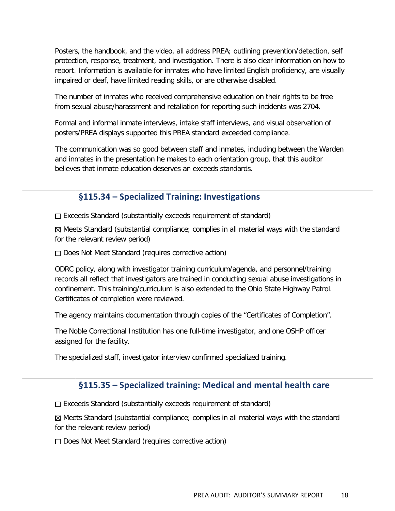Posters, the handbook, and the video, all address PREA; outlining prevention/detection, self protection, response, treatment, and investigation. There is also clear information on how to report. Information is available for inmates who have limited English proficiency, are visually impaired or deaf, have limited reading skills, or are otherwise disabled.

The number of inmates who received comprehensive education on their rights to be free from sexual abuse/harassment and retaliation for reporting such incidents was 2704.

Formal and informal inmate interviews, intake staff interviews, and visual observation of posters/PREA displays supported this PREA standard exceeded compliance.

The communication was so good between staff and inmates, including between the Warden and inmates in the presentation he makes to each orientation group, that this auditor believes that inmate education deserves an exceeds standards.

## **§115.34 – Specialized Training: Investigations**

 $\Box$  Exceeds Standard (substantially exceeds requirement of standard)

 $\boxtimes$  Meets Standard (substantial compliance; complies in all material ways with the standard for the relevant review period)

 $\Box$  Does Not Meet Standard (requires corrective action)

ODRC policy, along with investigator training curriculum/agenda, and personnel/training records all reflect that investigators are trained in conducting sexual abuse investigations in confinement. This training/curriculum is also extended to the Ohio State Highway Patrol. Certificates of completion were reviewed.

The agency maintains documentation through copies of the "Certificates of Completion".

The Noble Correctional Institution has one full-time investigator, and one OSHP officer assigned for the facility.

The specialized staff, investigator interview confirmed specialized training.

## **§115.35 – Specialized training: Medical and mental health care**

□ Exceeds Standard (substantially exceeds requirement of standard)

 $\boxtimes$  Meets Standard (substantial compliance; complies in all material ways with the standard for the relevant review period)

 $\Box$  Does Not Meet Standard (requires corrective action)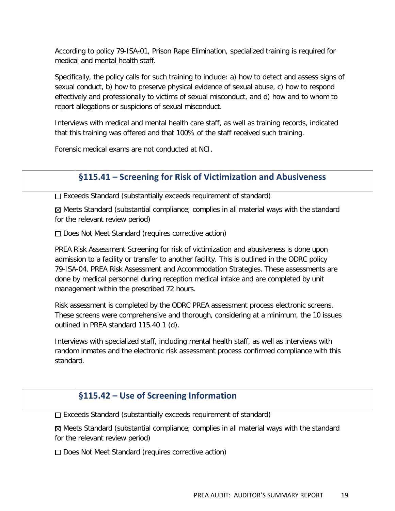According to policy 79-ISA-01, Prison Rape Elimination, specialized training is required for medical and mental health staff.

Specifically, the policy calls for such training to include: a) how to detect and assess signs of sexual conduct, b) how to preserve physical evidence of sexual abuse, c) how to respond effectively and professionally to victims of sexual misconduct, and d) how and to whom to report allegations or suspicions of sexual misconduct.

Interviews with medical and mental health care staff, as well as training records, indicated that this training was offered and that 100% of the staff received such training.

Forensic medical exams are not conducted at NCI.

## **§115.41 – Screening for Risk of Victimization and Abusiveness**

 $\Box$  Exceeds Standard (substantially exceeds requirement of standard)

 $\boxtimes$  Meets Standard (substantial compliance; complies in all material ways with the standard for the relevant review period)

 $\Box$  Does Not Meet Standard (requires corrective action)

PREA Risk Assessment Screening for risk of victimization and abusiveness is done upon admission to a facility or transfer to another facility. This is outlined in the ODRC policy 79-ISA-04, PREA Risk Assessment and Accommodation Strategies. These assessments are done by medical personnel during reception medical intake and are completed by unit management within the prescribed 72 hours.

Risk assessment is completed by the ODRC PREA assessment process electronic screens. These screens were comprehensive and thorough, considering at a minimum, the 10 issues outlined in PREA standard 115.40 1 (d).

Interviews with specialized staff, including mental health staff, as well as interviews with random inmates and the electronic risk assessment process confirmed compliance with this standard.

## **§115.42 – Use of Screening Information**

 $\square$  Exceeds Standard (substantially exceeds requirement of standard)

 $\boxtimes$  Meets Standard (substantial compliance; complies in all material ways with the standard for the relevant review period)

 $\Box$  Does Not Meet Standard (requires corrective action)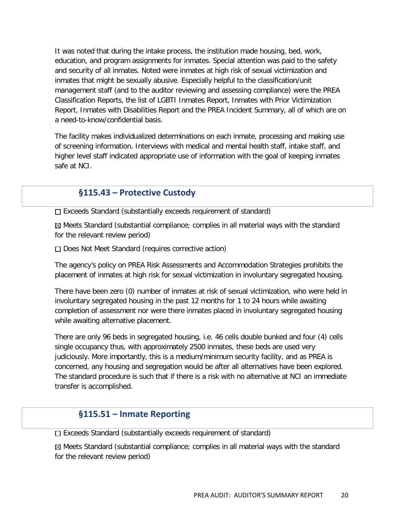It was noted that during the intake process, the institution made housing, bed, work, education, and program assignments for inmates. Special attention was paid to the safety and security of all inmates. Noted were inmates at high risk of sexual victimization and inmates that might be sexually abusive. Especially helpful to the classification/unit management staff (and to the auditor reviewing and assessing compliance) were the PREA Classification Reports, the list of LGBTI Inmates Report, Inmates with Prior Victimization Report, Inmates with Disabilities Report and the PREA Incident Summary, all of which are on a need-to-know/confidential basis.

The facility makes individualized determinations on each inmate, processing and making use of screening information. Interviews with medical and mental health staff, intake staff, and higher level staff indicated appropriate use of information with the goal of keeping inmates safe at NCI.

# **§115.43 – Protective Custody**

 $\square$  Exceeds Standard (substantially exceeds requirement of standard)

 $\boxtimes$  Meets Standard (substantial compliance; complies in all material ways with the standard for the relevant review period)

 $\Box$  Does Not Meet Standard (requires corrective action)

The agency's policy on PREA Risk Assessments and Accommodation Strategies prohibits the placement of inmates at high risk for sexual victimization in involuntary segregated housing.

There have been zero (0) number of inmates at risk of sexual victimization, who were held in involuntary segregated housing in the past 12 months for 1 to 24 hours while awaiting completion of assessment nor were there inmates placed in involuntary segregated housing while awaiting alternative placement.

There are only 96 beds in segregated housing, i.e. 46 cells double bunked and four (4) cells single occupancy thus, with approximately 2500 inmates, these beds are used very judiciously. More importantly, this is a medium/minimum security facility, and as PREA is concerned, any housing and segregation would be after all alternatives have been explored. The standard procedure is such that if there is a risk with no alternative at NCI an immediate transfer is accomplished.

# **§115.51 – Inmate Reporting**

□ Exceeds Standard (substantially exceeds requirement of standard)

 $\boxtimes$  Meets Standard (substantial compliance; complies in all material ways with the standard for the relevant review period)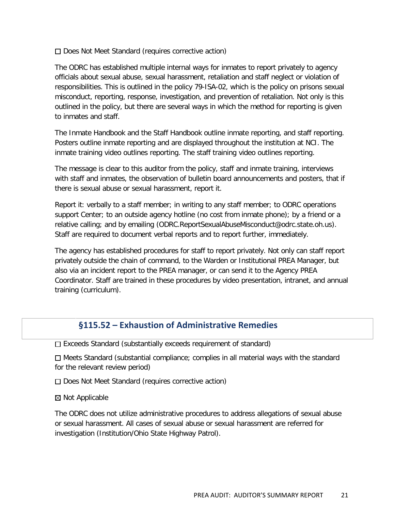$\Box$  Does Not Meet Standard (requires corrective action)

The ODRC has established multiple internal ways for inmates to report privately to agency officials about sexual abuse, sexual harassment, retaliation and staff neglect or violation of responsibilities. This is outlined in the policy 79-ISA-02, which is the policy on prisons sexual misconduct, reporting, response, investigation, and prevention of retaliation. Not only is this outlined in the policy, but there are several ways in which the method for reporting is given to inmates and staff.

The Inmate Handbook and the Staff Handbook outline inmate reporting, and staff reporting. Posters outline inmate reporting and are displayed throughout the institution at NCI. The inmate training video outlines reporting. The staff training video outlines reporting.

The message is clear to this auditor from the policy, staff and inmate training, interviews with staff and inmates, the observation of bulletin board announcements and posters, that if there is sexual abuse or sexual harassment, report it.

Report it: verbally to a staff member; in writing to any staff member; to ODRC operations support Center; to an outside agency hotline (no cost from inmate phone); by a friend or a relative calling; and by emailing (ODRC.ReportSexualAbuseMisconduct@odrc.state.oh.us). Staff are required to document verbal reports and to report further, immediately.

The agency has established procedures for staff to report privately. Not only can staff report privately outside the chain of command, to the Warden or Institutional PREA Manager, but also via an incident report to the PREA manager, or can send it to the Agency PREA Coordinator. Staff are trained in these procedures by video presentation, intranet, and annual training (curriculum).

## **§115.52 – Exhaustion of Administrative Remedies**

□ Exceeds Standard (substantially exceeds requirement of standard)

 $\Box$  Meets Standard (substantial compliance; complies in all material ways with the standard for the relevant review period)

 $\Box$  Does Not Meet Standard (requires corrective action)

 $\boxtimes$  Not Applicable

The ODRC does not utilize administrative procedures to address allegations of sexual abuse or sexual harassment. All cases of sexual abuse or sexual harassment are referred for investigation (Institution/Ohio State Highway Patrol).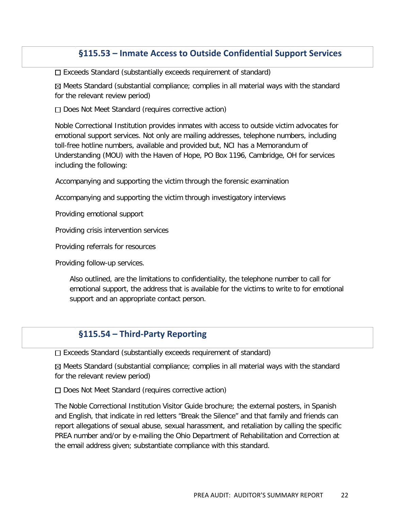# **§115.53 – Inmate Access to Outside Confidential Support Services**

 $\square$  Exceeds Standard (substantially exceeds requirement of standard)

 $\boxtimes$  Meets Standard (substantial compliance; complies in all material ways with the standard for the relevant review period)

 $\Box$  Does Not Meet Standard (requires corrective action)

Noble Correctional Institution provides inmates with access to outside victim advocates for emotional support services. Not only are mailing addresses, telephone numbers, including toll-free hotline numbers, available and provided but, NCI has a Memorandum of Understanding (MOU) with the Haven of Hope, PO Box 1196, Cambridge, OH for services including the following:

Accompanying and supporting the victim through the forensic examination

Accompanying and supporting the victim through investigatory interviews

Providing emotional support

Providing crisis intervention services

Providing referrals for resources

Providing follow-up services.

Also outlined, are the limitations to confidentiality, the telephone number to call for emotional support, the address that is available for the victims to write to for emotional support and an appropriate contact person.

#### **§115.54 – Third-Party Reporting**

 $\Box$  Exceeds Standard (substantially exceeds requirement of standard)

 $\boxtimes$  Meets Standard (substantial compliance; complies in all material ways with the standard for the relevant review period)

Does Not Meet Standard (requires corrective action)

The Noble Correctional Institution Visitor Guide brochure; the external posters, in Spanish and English, that indicate in red letters "Break the Silence" and that family and friends can report allegations of sexual abuse, sexual harassment, and retaliation by calling the specific PREA number and/or by e-mailing the Ohio Department of Rehabilitation and Correction at the email address given; substantiate compliance with this standard.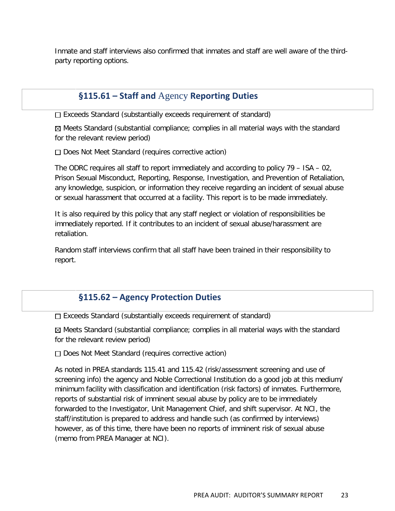Inmate and staff interviews also confirmed that inmates and staff are well aware of the thirdparty reporting options.

# **§115.61 – Staff and** Agency **Reporting Duties**

 $\Box$  Exceeds Standard (substantially exceeds requirement of standard)

 $\boxtimes$  Meets Standard (substantial compliance; complies in all material ways with the standard for the relevant review period)

 $\Box$  Does Not Meet Standard (requires corrective action)

The ODRC requires all staff to report immediately and according to policy 79 – ISA – 02, Prison Sexual Misconduct, Reporting, Response, Investigation, and Prevention of Retaliation, any knowledge, suspicion, or information they receive regarding an incident of sexual abuse or sexual harassment that occurred at a facility. This report is to be made immediately.

It is also required by this policy that any staff neglect or violation of responsibilities be immediately reported. If it contributes to an incident of sexual abuse/harassment are retaliation.

Random staff interviews confirm that all staff have been trained in their responsibility to report.

## **§115.62 – Agency Protection Duties**

□ Exceeds Standard (substantially exceeds requirement of standard)

 $\boxtimes$  Meets Standard (substantial compliance; complies in all material ways with the standard for the relevant review period)

Does Not Meet Standard (requires corrective action)

As noted in PREA standards 115.41 and 115.42 (risk/assessment screening and use of screening info) the agency and Noble Correctional Institution do a good job at this medium/ minimum facility with classification and identification (risk factors) of inmates. Furthermore, reports of substantial risk of imminent sexual abuse by policy are to be immediately forwarded to the Investigator, Unit Management Chief, and shift supervisor. At NCI, the staff/institution is prepared to address and handle such (as confirmed by interviews) however, as of this time, there have been no reports of imminent risk of sexual abuse (memo from PREA Manager at NCI).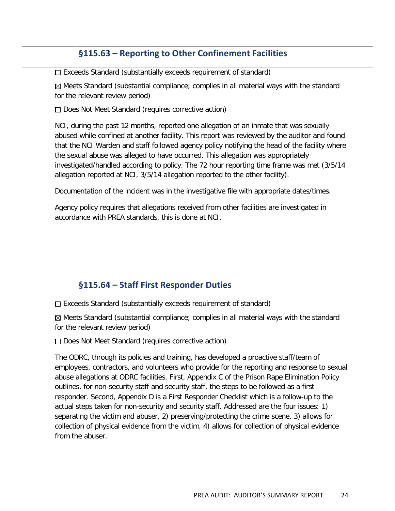# **§115.63 – Reporting to Other Confinement Facilities**

Exceeds Standard (substantially exceeds requirement of standard)

 $\boxtimes$  Meets Standard (substantial compliance; complies in all material ways with the standard for the relevant review period)

 $\Box$  Does Not Meet Standard (requires corrective action)

NCI, during the past 12 months, reported one allegation of an inmate that was sexually abused while confined at another facility. This report was reviewed by the auditor and found that the NCI Warden and staff followed agency policy notifying the head of the facility where the sexual abuse was alleged to have occurred. This allegation was appropriately investigated/handled according to policy. The 72 hour reporting time frame was met (3/5/14 allegation reported at NCI, 3/5/14 allegation reported to the other facility).

Documentation of the incident was in the investigative file with appropriate dates/times.

Agency policy requires that allegations received from other facilities are investigated in accordance with PREA standards, this is done at NCI.

# **§115.64 – Staff First Responder Duties**

 $\Box$  Exceeds Standard (substantially exceeds requirement of standard)

 $\boxtimes$  Meets Standard (substantial compliance; complies in all material ways with the standard for the relevant review period)

 $\Box$  Does Not Meet Standard (requires corrective action)

The ODRC, through its policies and training, has developed a proactive staff/team of employees, contractors, and volunteers who provide for the reporting and response to sexual abuse allegations at ODRC facilities. First, Appendix C of the Prison Rape Elimination Policy outlines, for non-security staff and security staff, the steps to be followed as a first responder. Second, Appendix D is a First Responder Checklist which is a follow-up to the actual steps taken for non-security and security staff. Addressed are the four issues: 1) separating the victim and abuser, 2) preserving/protecting the crime scene, 3) allows for collection of physical evidence from the victim, 4) allows for collection of physical evidence from the abuser.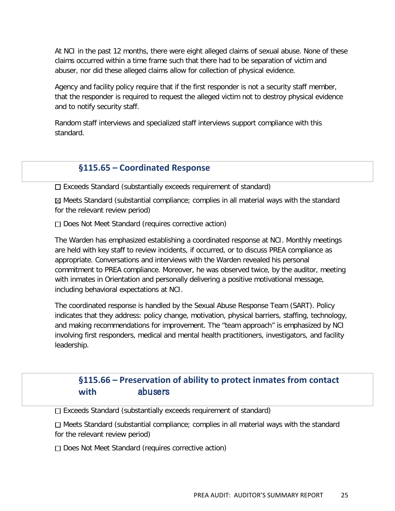At NCI in the past 12 months, there were eight alleged claims of sexual abuse. None of these claims occurred within a time frame such that there had to be separation of victim and abuser, nor did these alleged claims allow for collection of physical evidence.

Agency and facility policy require that if the first responder is not a security staff member, that the responder is required to request the alleged victim not to destroy physical evidence and to notify security staff.

Random staff interviews and specialized staff interviews support compliance with this standard.

# **§115.65 – Coordinated Response**

 $\Box$  Exceeds Standard (substantially exceeds requirement of standard)

 $\boxtimes$  Meets Standard (substantial compliance; complies in all material ways with the standard for the relevant review period)

 $\Box$  Does Not Meet Standard (requires corrective action)

The Warden has emphasized establishing a coordinated response at NCI. Monthly meetings are held with key staff to review incidents, if occurred, or to discuss PREA compliance as appropriate. Conversations and interviews with the Warden revealed his personal commitment to PREA compliance. Moreover, he was observed twice, by the auditor, meeting with inmates in Orientation and personally delivering a positive motivational message, including behavioral expectations at NCI.

The coordinated response is handled by the Sexual Abuse Response Team (SART). Policy indicates that they address: policy change, motivation, physical barriers, staffing, technology, and making recommendations for improvement. The "team approach" is emphasized by NCI involving first responders, medical and mental health practitioners, investigators, and facility leadership.

# **§115.66 – Preservation of ability to protect inmates from contact with** abusers

 $\Box$  Exceeds Standard (substantially exceeds requirement of standard)

 $\Box$  Meets Standard (substantial compliance; complies in all material ways with the standard for the relevant review period)

 $\Box$  Does Not Meet Standard (requires corrective action)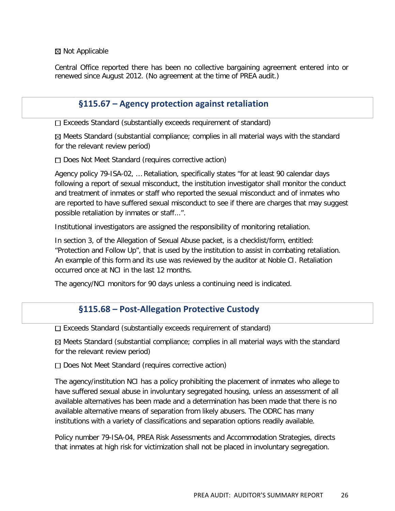$\boxtimes$  Not Applicable

Central Office reported there has been no collective bargaining agreement entered into or renewed since August 2012. (No agreement at the time of PREA audit.)

## **§115.67 – Agency protection against retaliation**

 $\Box$  Exceeds Standard (substantially exceeds requirement of standard)

 $\boxtimes$  Meets Standard (substantial compliance; complies in all material ways with the standard for the relevant review period)

 $\Box$  Does Not Meet Standard (requires corrective action)

Agency policy 79-ISA-02, … Retaliation, specifically states "for at least 90 calendar days following a report of sexual misconduct, the institution investigator shall monitor the conduct and treatment of inmates or staff who reported the sexual misconduct and of inmates who are reported to have suffered sexual misconduct to see if there are charges that may suggest possible retaliation by inmates or staff...".

Institutional investigators are assigned the responsibility of monitoring retaliation.

In section 3, of the Allegation of Sexual Abuse packet, is a checklist/form, entitled: "Protection and Follow Up", that is used by the institution to assist in combating retaliation. An example of this form and its use was reviewed by the auditor at Noble CI. Retaliation occurred once at NCI in the last 12 months.

The agency/NCI monitors for 90 days unless a continuing need is indicated.

#### **§115.68 – Post-Allegation Protective Custody**

 $\Box$  Exceeds Standard (substantially exceeds requirement of standard)

 $\boxtimes$  Meets Standard (substantial compliance; complies in all material ways with the standard for the relevant review period)

Does Not Meet Standard (requires corrective action)

The agency/institution NCI has a policy prohibiting the placement of inmates who allege to have suffered sexual abuse in involuntary segregated housing, unless an assessment of all available alternatives has been made and a determination has been made that there is no available alternative means of separation from likely abusers. The ODRC has many institutions with a variety of classifications and separation options readily available.

Policy number 79-ISA-04, PREA Risk Assessments and Accommodation Strategies, directs that inmates at high risk for victimization shall not be placed in involuntary segregation.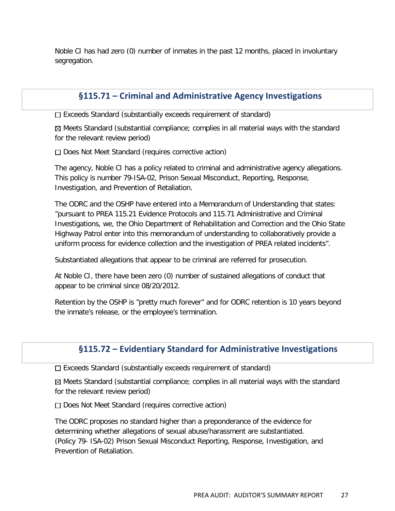Noble CI has had zero (0) number of inmates in the past 12 months, placed in involuntary segregation.

# **§115.71 – Criminal and Administrative Agency Investigations**

 $\Box$  Exceeds Standard (substantially exceeds requirement of standard)

 $\boxtimes$  Meets Standard (substantial compliance; complies in all material ways with the standard for the relevant review period)

 $\Box$  Does Not Meet Standard (requires corrective action)

The agency, Noble CI has a policy related to criminal and administrative agency allegations. This policy is number 79-ISA-02, Prison Sexual Misconduct, Reporting, Response, Investigation, and Prevention of Retaliation.

The ODRC and the OSHP have entered into a Memorandum of Understanding that states: "pursuant to PREA 115.21 Evidence Protocols and 115.71 Administrative and Criminal Investigations, we, the Ohio Department of Rehabilitation and Correction and the Ohio State Highway Patrol enter into this memorandum of understanding to collaboratively provide a uniform process for evidence collection and the investigation of PREA related incidents".

Substantiated allegations that appear to be criminal are referred for prosecution.

At Noble CI, there have been zero (0) number of sustained allegations of conduct that appear to be criminal since 08/20/2012.

Retention by the OSHP is "pretty much forever" and for ODRC retention is 10 years beyond the inmate's release, or the employee's termination.

# **§115.72 – Evidentiary Standard for Administrative Investigations**

 $\Box$  Exceeds Standard (substantially exceeds requirement of standard)

 $\boxtimes$  Meets Standard (substantial compliance; complies in all material ways with the standard for the relevant review period)

 $\Box$  Does Not Meet Standard (requires corrective action)

The ODRC proposes no standard higher than a preponderance of the evidence for determining whether allegations of sexual abuse/harassment are substantiated. (Policy 79- ISA-02) Prison Sexual Misconduct Reporting, Response, Investigation, and Prevention of Retaliation.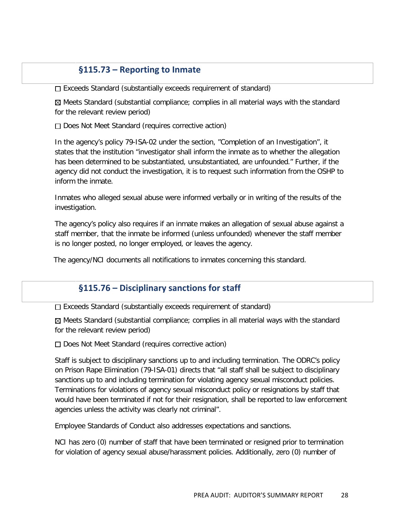# **§115.73 – Reporting to Inmate**

 $\square$  Exceeds Standard (substantially exceeds requirement of standard)

 $\boxtimes$  Meets Standard (substantial compliance; complies in all material ways with the standard for the relevant review period)

 $\Box$  Does Not Meet Standard (requires corrective action)

In the agency's policy 79-ISA-02 under the section, "Completion of an Investigation", it states that the institution "investigator shall inform the inmate as to whether the allegation has been determined to be substantiated, unsubstantiated, are unfounded." Further, if the agency did not conduct the investigation, it is to request such information from the OSHP to inform the inmate.

Inmates who alleged sexual abuse were informed verbally or in writing of the results of the investigation.

The agency's policy also requires if an inmate makes an allegation of sexual abuse against a staff member, that the inmate be informed (unless unfounded) whenever the staff member is no longer posted, no longer employed, or leaves the agency.

The agency/NCI documents all notifications to inmates concerning this standard.

## **§115.76 – Disciplinary sanctions for staff**

 $\Box$  Exceeds Standard (substantially exceeds requirement of standard)

 $\boxtimes$  Meets Standard (substantial compliance; complies in all material ways with the standard for the relevant review period)

Does Not Meet Standard (requires corrective action)

Staff is subject to disciplinary sanctions up to and including termination. The ODRC's policy on Prison Rape Elimination (79-ISA-01) directs that "all staff shall be subject to disciplinary sanctions up to and including termination for violating agency sexual misconduct policies. Terminations for violations of agency sexual misconduct policy or resignations by staff that would have been terminated if not for their resignation, shall be reported to law enforcement agencies unless the activity was clearly not criminal".

Employee Standards of Conduct also addresses expectations and sanctions.

NCI has zero (0) number of staff that have been terminated or resigned prior to termination for violation of agency sexual abuse/harassment policies. Additionally, zero (0) number of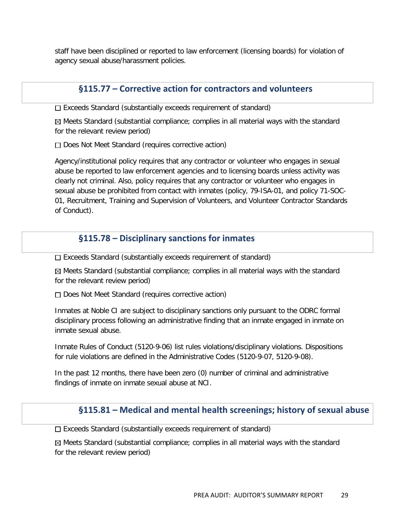staff have been disciplined or reported to law enforcement (licensing boards) for violation of agency sexual abuse/harassment policies.

## **§115.77 – Corrective action for contractors and volunteers**

 $\Box$  Exceeds Standard (substantially exceeds requirement of standard)

 $\boxtimes$  Meets Standard (substantial compliance; complies in all material ways with the standard for the relevant review period)

Does Not Meet Standard (requires corrective action)

Agency/institutional policy requires that any contractor or volunteer who engages in sexual abuse be reported to law enforcement agencies and to licensing boards unless activity was clearly not criminal. Also, policy requires that any contractor or volunteer who engages in sexual abuse be prohibited from contact with inmates (policy, 79-ISA-01, and policy 71-SOC-01, Recruitment, Training and Supervision of Volunteers, and Volunteer Contractor Standards of Conduct).

## **§115.78 – Disciplinary sanctions for inmates**

 $\Box$  Exceeds Standard (substantially exceeds requirement of standard)

 $\boxtimes$  Meets Standard (substantial compliance; complies in all material ways with the standard for the relevant review period)

Does Not Meet Standard (requires corrective action)

Inmates at Noble CI are subject to disciplinary sanctions only pursuant to the ODRC formal disciplinary process following an administrative finding that an inmate engaged in inmate on inmate sexual abuse.

Inmate Rules of Conduct (5120-9-06) list rules violations/disciplinary violations. Dispositions for rule violations are defined in the Administrative Codes (5120-9-07, 5120-9-08).

In the past 12 months, there have been zero (0) number of criminal and administrative findings of inmate on inmate sexual abuse at NCI.

## **§115.81 – Medical and mental health screenings; history of sexual abuse**

 $\Box$  Exceeds Standard (substantially exceeds requirement of standard)

 $\boxtimes$  Meets Standard (substantial compliance; complies in all material ways with the standard for the relevant review period)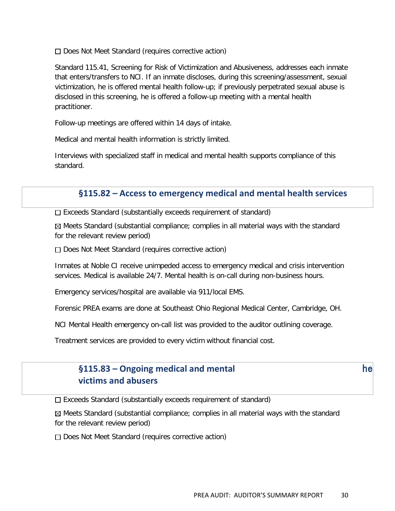$\Box$  Does Not Meet Standard (requires corrective action)

Standard 115.41, Screening for Risk of Victimization and Abusiveness, addresses each inmate that enters/transfers to NCI. If an inmate discloses, during this screening/assessment, sexual victimization, he is offered mental health follow-up; if previously perpetrated sexual abuse is disclosed in this screening, he is offered a follow-up meeting with a mental health practitioner.

Follow-up meetings are offered within 14 days of intake.

Medical and mental health information is strictly limited.

Interviews with specialized staff in medical and mental health supports compliance of this standard.

#### **§115.82 – Access to emergency medical and mental health services**

□ Exceeds Standard (substantially exceeds requirement of standard)

 $\boxtimes$  Meets Standard (substantial compliance; complies in all material ways with the standard for the relevant review period)

 $\Box$  Does Not Meet Standard (requires corrective action)

Inmates at Noble CI receive unimpeded access to emergency medical and crisis intervention services. Medical is available 24/7. Mental health is on-call during non-business hours.

Emergency services/hospital are available via 911/local EMS.

Forensic PREA exams are done at Southeast Ohio Regional Medical Center, Cambridge, OH.

NCI Mental Health emergency on-call list was provided to the auditor outlining coverage.

Treatment services are provided to every victim without financial cost.

# **§115.83 – Ongoing medical and mental** he 
**victims and abusers**

□ Exceeds Standard (substantially exceeds requirement of standard)

 $\boxtimes$  Meets Standard (substantial compliance; complies in all material ways with the standard for the relevant review period)

 $\Box$  Does Not Meet Standard (requires corrective action)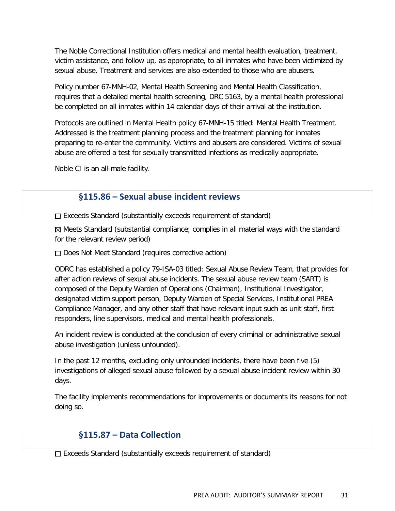The Noble Correctional Institution offers medical and mental health evaluation, treatment, victim assistance, and follow up, as appropriate, to all inmates who have been victimized by sexual abuse. Treatment and services are also extended to those who are abusers.

Policy number 67-MNH-02, Mental Health Screening and Mental Health Classification, requires that a detailed mental health screening, DRC 5163, by a mental health professional be completed on all inmates within 14 calendar days of their arrival at the institution.

Protocols are outlined in Mental Health policy 67-MNH-15 titled: Mental Health Treatment. Addressed is the treatment planning process and the treatment planning for inmates preparing to re-enter the community. Victims and abusers are considered. Victims of sexual abuse are offered a test for sexually transmitted infections as medically appropriate.

Noble CI is an all-male facility.

# **§115.86 – Sexual abuse incident reviews**

 $\Box$  Exceeds Standard (substantially exceeds requirement of standard)

 $\boxtimes$  Meets Standard (substantial compliance; complies in all material ways with the standard for the relevant review period)

 $\Box$  Does Not Meet Standard (requires corrective action)

ODRC has established a policy 79-ISA-03 titled: Sexual Abuse Review Team, that provides for after action reviews of sexual abuse incidents. The sexual abuse review team (SART) is composed of the Deputy Warden of Operations (Chairman), Institutional Investigator, designated victim support person, Deputy Warden of Special Services, Institutional PREA Compliance Manager, and any other staff that have relevant input such as unit staff, first responders, line supervisors, medical and mental health professionals.

An incident review is conducted at the conclusion of every criminal or administrative sexual abuse investigation (unless unfounded).

In the past 12 months, excluding only unfounded incidents, there have been five (5) investigations of alleged sexual abuse followed by a sexual abuse incident review within 30 days.

The facility implements recommendations for improvements or documents its reasons for not doing so.

# **§115.87 – Data Collection**

 $\Box$  Exceeds Standard (substantially exceeds requirement of standard)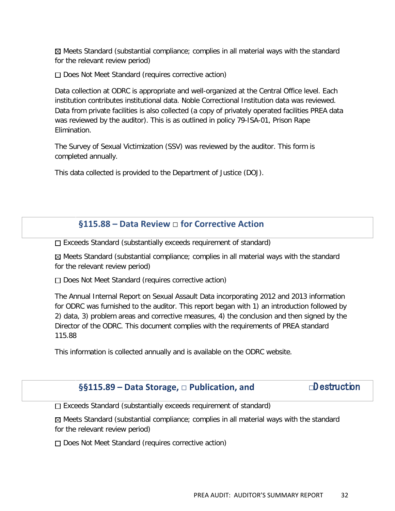Meets Standard (substantial compliance; complies in all material ways with the standard for the relevant review period)

Does Not Meet Standard (requires corrective action)

Data collection at ODRC is appropriate and well-organized at the Central Office level. Each institution contributes institutional data. Noble Correctional Institution data was reviewed. Data from private facilities is also collected (a copy of privately operated facilities PREA data was reviewed by the auditor). This is as outlined in policy 79-ISA-01, Prison Rape Elimination.

The Survey of Sexual Victimization (SSV) was reviewed by the auditor. This form is completed annually.

This data collected is provided to the Department of Justice (DOJ).

## **§115.88 – Data Review** □ **for Corrective Action**

 $\Box$  Exceeds Standard (substantially exceeds requirement of standard)

 $\boxtimes$  Meets Standard (substantial compliance; complies in all material ways with the standard for the relevant review period)

Does Not Meet Standard (requires corrective action)

The Annual Internal Report on Sexual Assault Data incorporating 2012 and 2013 information for ODRC was furnished to the auditor. This report began with 1) an introduction followed by 2) data, 3) problem areas and corrective measures, 4) the conclusion and then signed by the Director of the ODRC. This document complies with the requirements of PREA standard 115.88

This information is collected annually and is available on the ODRC website.

# §§115.89 – Data Storage, □ Publication, and □ Destruction

□ Exceeds Standard (substantially exceeds requirement of standard)

 $\boxtimes$  Meets Standard (substantial compliance; complies in all material ways with the standard for the relevant review period)

Does Not Meet Standard (requires corrective action)